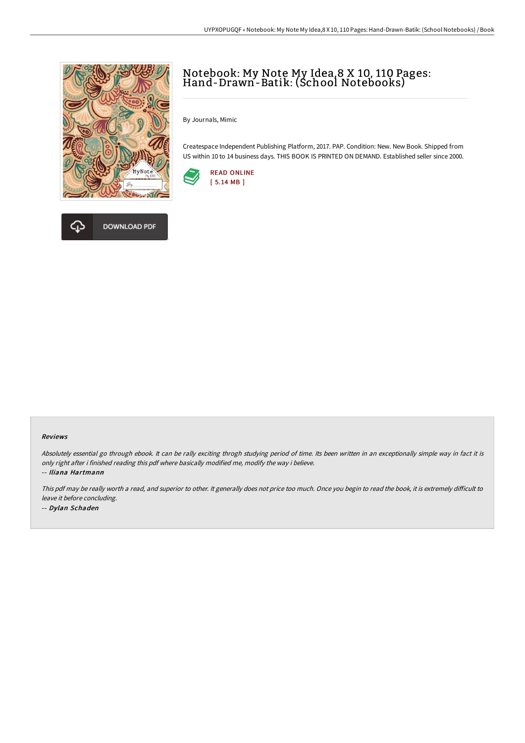

DOWNLOAD PDF



By Journals, Mimic

Createspace Independent Publishing Platform, 2017. PAP. Condition: New. New Book. Shipped from US within 10 to 14 business days. THIS BOOK IS PRINTED ON DEMAND. Established seller since 2000.





## Reviews

Absolutely essential go through ebook. It can be rally exciting throgh studying period of time. Its been written in an exceptionally simple way in fact it is only right after i finished reading this pdf where basically modified me, modify the way i believe.

-- Iliana Hartmann

This pdf may be really worth a read, and superior to other. It generally does not price too much. Once you begin to read the book, it is extremely difficult to leave it before concluding. -- Dylan Schaden